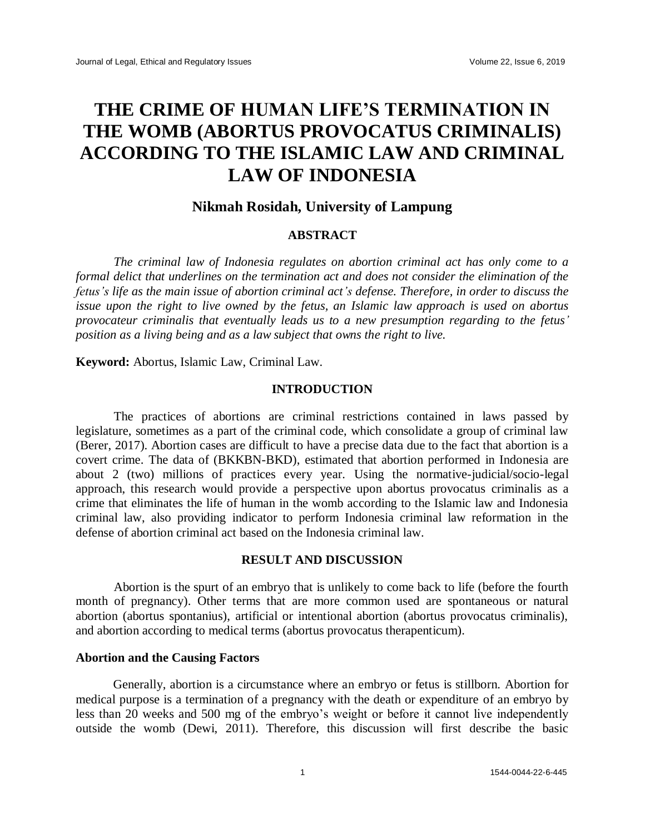# **THE CRIME OF HUMAN LIFE'S TERMINATION IN THE WOMB (ABORTUS PROVOCATUS CRIMINALIS) ACCORDING TO THE ISLAMIC LAW AND CRIMINAL LAW OF INDONESIA**

# **Nikmah Rosidah, University of Lampung**

#### **ABSTRACT**

*The criminal law of Indonesia regulates on abortion criminal act has only come to a formal delict that underlines on the termination act and does not consider the elimination of the fetus's life as the main issue of abortion criminal act's defense. Therefore, in order to discuss the issue upon the right to live owned by the fetus, an Islamic law approach is used on abortus provocateur criminalis that eventually leads us to a new presumption regarding to the fetus' position as a living being and as a law subject that owns the right to live.* 

**Keyword:** Abortus, Islamic Law, Criminal Law.

# **INTRODUCTION**

The practices of abortions are criminal restrictions contained in laws passed by legislature, sometimes as a part of the criminal code, which consolidate a group of criminal law (Berer, 2017). Abortion cases are difficult to have a precise data due to the fact that abortion is a covert crime. The data of (BKKBN-BKD), estimated that abortion performed in Indonesia are about 2 (two) millions of practices every year. Using the normative-judicial/socio-legal approach, this research would provide a perspective upon abortus provocatus criminalis as a crime that eliminates the life of human in the womb according to the Islamic law and Indonesia criminal law, also providing indicator to perform Indonesia criminal law reformation in the defense of abortion criminal act based on the Indonesia criminal law.

## **RESULT AND DISCUSSION**

Abortion is the spurt of an embryo that is unlikely to come back to life (before the fourth month of pregnancy). Other terms that are more common used are spontaneous or natural abortion (abortus spontanius), artificial or intentional abortion (abortus provocatus criminalis), and abortion according to medical terms (abortus provocatus therapenticum).

# **Abortion and the Causing Factors**

Generally, abortion is a circumstance where an embryo or fetus is stillborn. Abortion for medical purpose is a termination of a pregnancy with the death or expenditure of an embryo by less than 20 weeks and 500 mg of the embryo's weight or before it cannot live independently outside the womb (Dewi, 2011). Therefore, this discussion will first describe the basic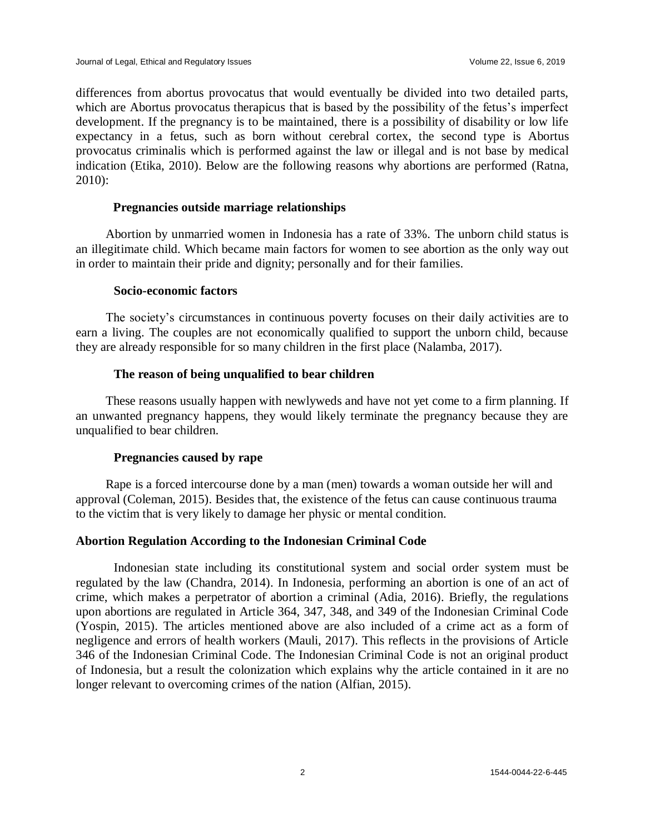differences from abortus provocatus that would eventually be divided into two detailed parts, which are Abortus provocatus therapicus that is based by the possibility of the fetus's imperfect development. If the pregnancy is to be maintained, there is a possibility of disability or low life expectancy in a fetus, such as born without cerebral cortex, the second type is Abortus provocatus criminalis which is performed against the law or illegal and is not base by medical indication (Etika, 2010). Below are the following reasons why abortions are performed (Ratna, 2010):

## **Pregnancies outside marriage relationships**

Abortion by unmarried women in Indonesia has a rate of 33%. The unborn child status is an illegitimate child. Which became main factors for women to see abortion as the only way out in order to maintain their pride and dignity; personally and for their families.

#### **Socio-economic factors**

The society's circumstances in continuous poverty focuses on their daily activities are to earn a living. The couples are not economically qualified to support the unborn child, because they are already responsible for so many children in the first place (Nalamba, 2017).

# **The reason of being unqualified to bear children**

These reasons usually happen with newlyweds and have not yet come to a firm planning. If an unwanted pregnancy happens, they would likely terminate the pregnancy because they are unqualified to bear children.

# **Pregnancies caused by rape**

Rape is a forced intercourse done by a man (men) towards a woman outside her will and approval (Coleman, 2015). Besides that, the existence of the fetus can cause continuous trauma to the victim that is very likely to damage her physic or mental condition.

# **Abortion Regulation According to the Indonesian Criminal Code**

Indonesian state including its constitutional system and social order system must be regulated by the law (Chandra, 2014). In Indonesia, performing an abortion is one of an act of crime, which makes a perpetrator of abortion a criminal (Adia, 2016). Briefly, the regulations upon abortions are regulated in Article 364, 347, 348, and 349 of the Indonesian Criminal Code (Yospin, 2015). The articles mentioned above are also included of a crime act as a form of negligence and errors of health workers (Mauli, 2017). This reflects in the provisions of Article 346 of the Indonesian Criminal Code. The Indonesian Criminal Code is not an original product of Indonesia, but a result the colonization which explains why the article contained in it are no longer relevant to overcoming crimes of the nation (Alfian, 2015).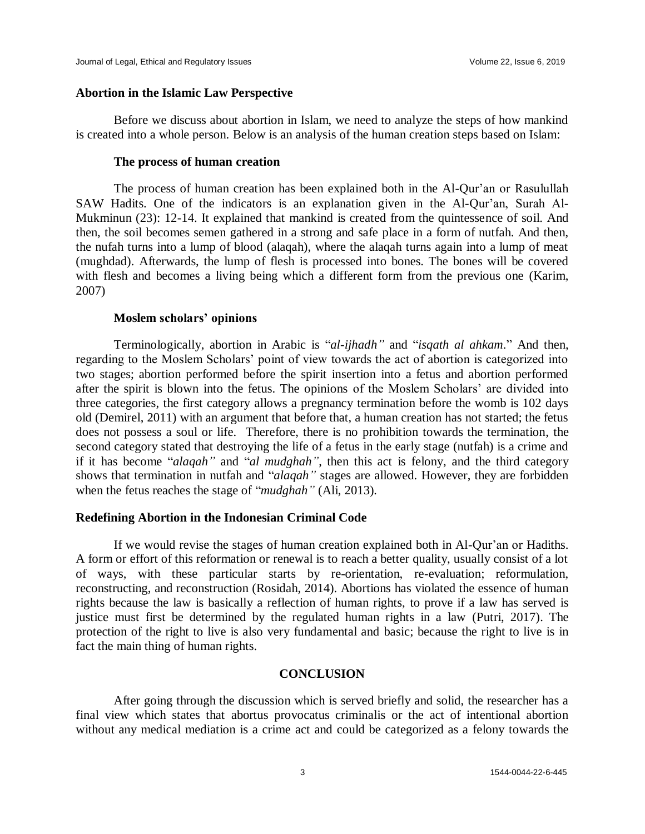#### **Abortion in the Islamic Law Perspective**

Before we discuss about abortion in Islam, we need to analyze the steps of how mankind is created into a whole person. Below is an analysis of the human creation steps based on Islam:

# **The process of human creation**

The process of human creation has been explained both in the Al-Qur'an or Rasulullah SAW Hadits. One of the indicators is an explanation given in the Al-Qur'an, Surah Al-Mukminun (23): 12-14. It explained that mankind is created from the quintessence of soil. And then, the soil becomes semen gathered in a strong and safe place in a form of nutfah. And then, the nufah turns into a lump of blood (alaqah), where the alaqah turns again into a lump of meat (mughdad). Afterwards, the lump of flesh is processed into bones. The bones will be covered with flesh and becomes a living being which a different form from the previous one (Karim, 2007)

#### **Moslem scholars' opinions**

Terminologically, abortion in Arabic is "*al-ijhadh"* and "*isqath al ahkam*." And then, regarding to the Moslem Scholars' point of view towards the act of abortion is categorized into two stages; abortion performed before the spirit insertion into a fetus and abortion performed after the spirit is blown into the fetus. The opinions of the Moslem Scholars' are divided into three categories, the first category allows a pregnancy termination before the womb is 102 days old (Demirel, 2011) with an argument that before that, a human creation has not started; the fetus does not possess a soul or life. Therefore, there is no prohibition towards the termination, the second category stated that destroying the life of a fetus in the early stage (nutfah) is a crime and if it has become "*alaqah"* and "*al mudghah"*, then this act is felony, and the third category shows that termination in nutfah and "*alaqah"* stages are allowed. However, they are forbidden when the fetus reaches the stage of "*mudghah"* (Ali, 2013)*.*

## **Redefining Abortion in the Indonesian Criminal Code**

If we would revise the stages of human creation explained both in Al-Qur'an or Hadiths. A form or effort of this reformation or renewal is to reach a better quality, usually consist of a lot of ways, with these particular starts by re-orientation, re-evaluation; reformulation, reconstructing, and reconstruction (Rosidah, 2014). Abortions has violated the essence of human rights because the law is basically a reflection of human rights, to prove if a law has served is justice must first be determined by the regulated human rights in a law (Putri, 2017). The protection of the right to live is also very fundamental and basic; because the right to live is in fact the main thing of human rights.

## **CONCLUSION**

After going through the discussion which is served briefly and solid, the researcher has a final view which states that abortus provocatus criminalis or the act of intentional abortion without any medical mediation is a crime act and could be categorized as a felony towards the